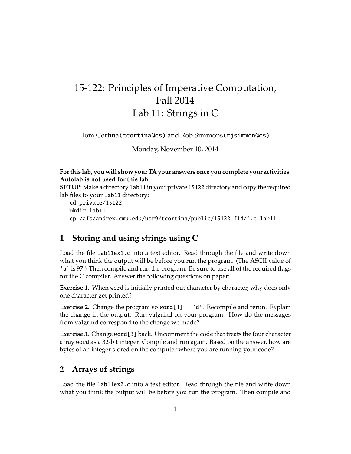# 15-122: Principles of Imperative Computation, Fall 2014 Lab 11: Strings in C

Tom Cortina(tcortina@cs) and Rob Simmons(rjsimmon@cs)

Monday, November 10, 2014

#### **For this lab, you will show your TA your answers once you complete your activities. Autolab is not used for this lab.**

**SETUP**: Make a directory 1 ab 11 in your private 15122 directory and copy the required lab files to your lab11 directory:

```
cd private/15122
mkdir lab11
cp /afs/andrew.cmu.edu/usr9/tcortina/public/15122-f14/*.c lab11
```
## **1 Storing and using strings using C**

Load the file lab11ex1.c into a text editor. Read through the file and write down what you think the output will be before you run the program. (The ASCII value of 'a' is 97.) Then compile and run the program. Be sure to use all of the required flags for the C compiler. Answer the following questions on paper:

**Exercise 1.** When word is initially printed out character by character, why does only one character get printed?

**Exercise 2.** Change the program so word[3] = 'd'. Recompile and rerun. Explain the change in the output. Run valgrind on your program. How do the messages from valgrind correspond to the change we made?

**Exercise 3.** Change word[3] back. Uncomment the code that treats the four character array word as a 32-bit integer. Compile and run again. Based on the answer, how are bytes of an integer stored on the computer where you are running your code?

## **2 Arrays of strings**

Load the file lab11ex2.c into a text editor. Read through the file and write down what you think the output will be before you run the program. Then compile and